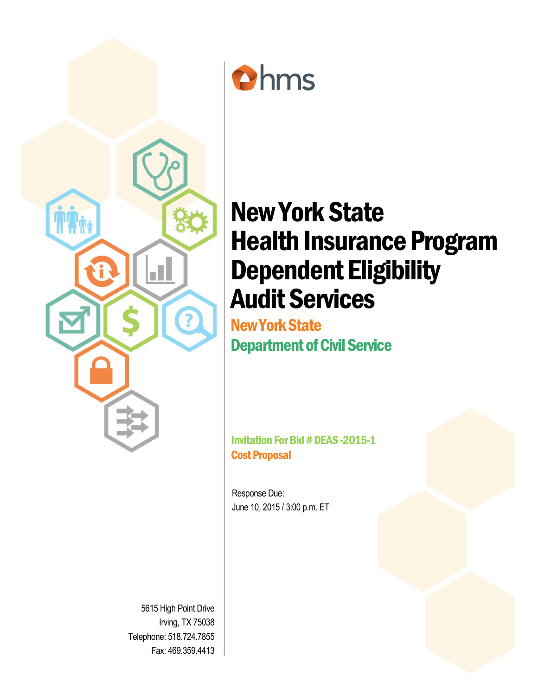



# New York State Health Insurance Program Dependent Eligibility Audit Services

New York State Department of Civil Service

Invitation For Bid # DEAS -2015-1 Cost Proposal

Response Due: June 10, 2015 / 3:00 p.m. ET

5615 High Point Drive Irving, TX 75038 Telephone: 518.724.7855 Fax: 469.359.4413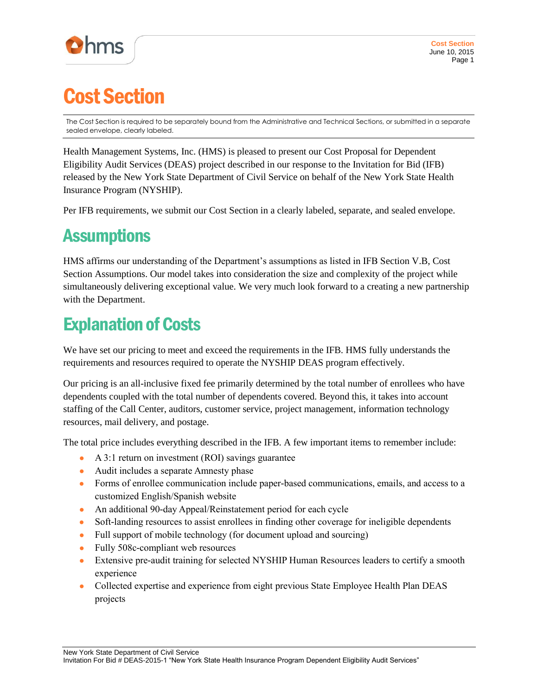

## Cost Section

The Cost Section is required to be separately bound from the Administrative and Technical Sections, or submitted in a separate sealed envelope, clearly labeled.

Health Management Systems, Inc. (HMS) is pleased to present our Cost Proposal for Dependent Eligibility Audit Services (DEAS) project described in our response to the Invitation for Bid (IFB) released by the New York State Department of Civil Service on behalf of the New York State Health Insurance Program (NYSHIP).

Per IFB requirements, we submit our Cost Section in a clearly labeled, separate, and sealed envelope.

#### **Assumptions**

HMS affirms our understanding of the Department's assumptions as listed in IFB Section V.B, Cost Section Assumptions. Our model takes into consideration the size and complexity of the project while simultaneously delivering exceptional value. We very much look forward to a creating a new partnership with the Department.

### Explanation of Costs

We have set our pricing to meet and exceed the requirements in the IFB. HMS fully understands the requirements and resources required to operate the NYSHIP DEAS program effectively.

Our pricing is an all-inclusive fixed fee primarily determined by the total number of enrollees who have dependents coupled with the total number of dependents covered. Beyond this, it takes into account staffing of the Call Center, auditors, customer service, project management, information technology resources, mail delivery, and postage.

The total price includes everything described in the IFB. A few important items to remember include:

- A 3:1 return on investment (ROI) savings guarantee
- Audit includes a separate Amnesty phase
- Forms of enrollee communication include paper-based communications, emails, and access to a customized English/Spanish website
- An additional 90-day Appeal/Reinstatement period for each cycle
- Soft-landing resources to assist enrollees in finding other coverage for ineligible dependents
- Full support of mobile technology (for document upload and sourcing)
- Fully 508c-compliant web resources
- Extensive pre-audit training for selected NYSHIP Human Resources leaders to certify a smooth experience
- Collected expertise and experience from eight previous State Employee Health Plan DEAS projects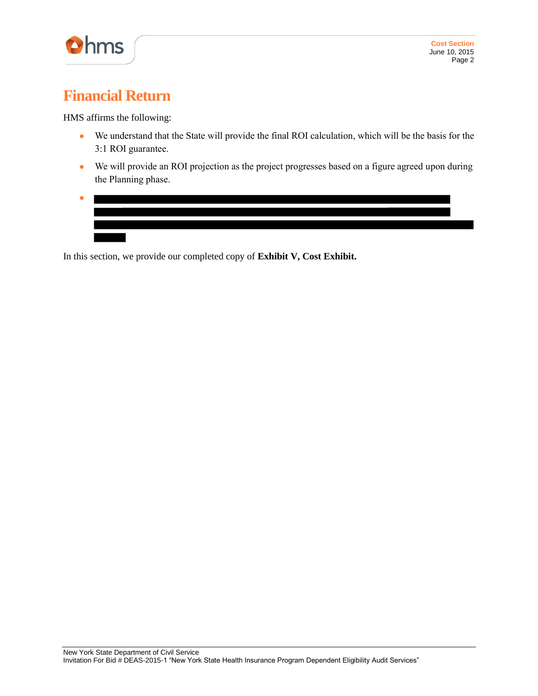

#### **Financial Return**

HMS affirms the following:

- We understand that the State will provide the final ROI calculation, which will be the basis for the 3:1 ROI guarantee.
- We will provide an ROI projection as the project progresses based on a figure agreed upon during the Planning phase.
- ●

In this section, we provide our completed copy of **Exhibit V, Cost Exhibit.**